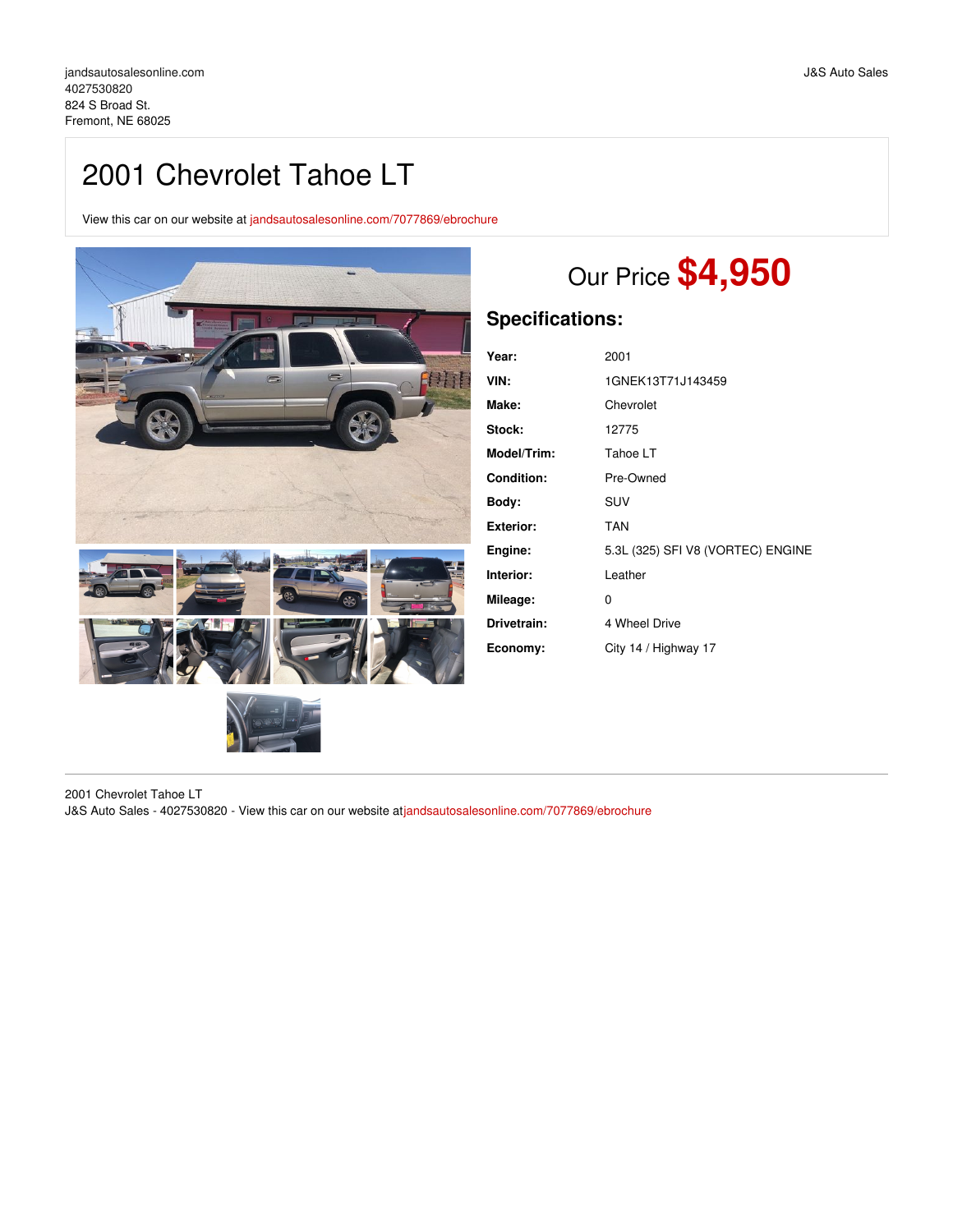# 2001 Chevrolet Tahoe LT

View this car on our website at [jandsautosalesonline.com/7077869/ebrochure](https://jandsautosalesonline.com/vehicle/7077869/2001-chevrolet-tahoe-lt-fremont-ne-68025/7077869/ebrochure)



# Our Price **\$4,950**

## **Specifications:**

| Year:             | 2001                              |
|-------------------|-----------------------------------|
| VIN:              | 1GNEK13T71J143459                 |
| Make:             | Chevrolet                         |
| Stock:            | 12775                             |
| Model/Trim:       | Tahoe LT                          |
| <b>Condition:</b> | Pre-Owned                         |
| Body:             | <b>SUV</b>                        |
| <b>Exterior:</b>  | <b>TAN</b>                        |
| Engine:           | 5.3L (325) SFI V8 (VORTEC) ENGINE |
| Interior:         | Leather                           |
| Mileage:          | 0                                 |
| Drivetrain:       | 4 Wheel Drive                     |
| Economy:          | City 14 / Highway 17              |

2001 Chevrolet Tahoe LT J&S Auto Sales - 4027530820 - View this car on our website at[jandsautosalesonline.com/7077869/ebrochure](https://jandsautosalesonline.com/vehicle/7077869/2001-chevrolet-tahoe-lt-fremont-ne-68025/7077869/ebrochure)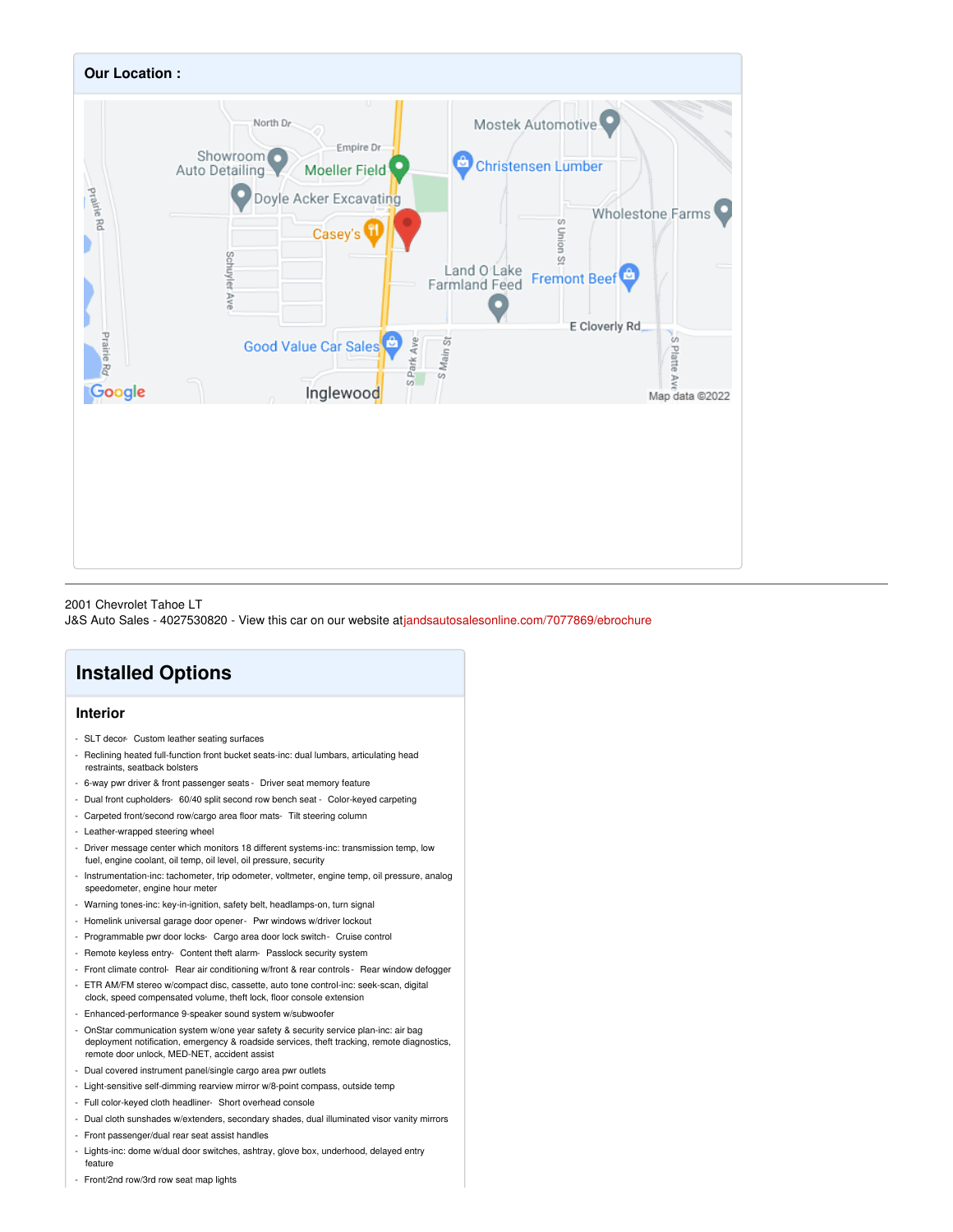

#### 2001 Chevrolet Tahoe LT

J&S Auto Sales - 4027530820 - View this car on our website at[jandsautosalesonline.com/7077869/ebrochure](https://jandsautosalesonline.com/vehicle/7077869/2001-chevrolet-tahoe-lt-fremont-ne-68025/7077869/ebrochure)

# **Installed Options**

#### **Interior**

- SLT decor- Custom leather seating surfaces
- Reclining heated full-function front bucket seats-inc: dual lumbars, articulating head restraints, seatback bolsters
- 6-way pwr driver & front passenger seats Driver seat memory feature
- Dual front cupholders- 60/40 split second row bench seat Color-keyed carpeting
- Carpeted front/second row/cargo area floor mats- Tilt steering column
- Leather-wrapped steering wheel
- Driver message center which monitors 18 different systems-inc: transmission temp, low fuel, engine coolant, oil temp, oil level, oil pressure, security
- Instrumentation-inc: tachometer, trip odometer, voltmeter, engine temp, oil pressure, analog speedometer, engine hour meter
- Warning tones-inc: key-in-ignition, safety belt, headlamps-on, turn signal
- Homelink universal garage door opener- Pwr windows w/driver lockout
- Programmable pwr door locks- Cargo area door lock switch- Cruise control
- Remote keyless entry- Content theft alarm- Passlock security system
- Front climate control- Rear air conditioning w/front & rear controls Rear window defogger
- ETR AM/FM stereo w/compact disc, cassette, auto tone control-inc: seek-scan, digital clock, speed compensated volume, theft lock, floor console extension
- Enhanced-performance 9-speaker sound system w/subwoofer
- OnStar communication system w/one year safety & security service plan-inc: air bag deployment notification, emergency & roadside services, theft tracking, remote diagnostics, remote door unlock, MED-NET, accident assist
- Dual covered instrument panel/single cargo area pwr outlets
- Light-sensitive self-dimming rearview mirror w/8-point compass, outside temp
- Full color-keyed cloth headliner- Short overhead console
- Dual cloth sunshades w/extenders, secondary shades, dual illuminated visor vanity mirrors
- Front passenger/dual rear seat assist handles
- Lights-inc: dome w/dual door switches, ashtray, glove box, underhood, delayed entry feature
- Front/2nd row/3rd row seat map lights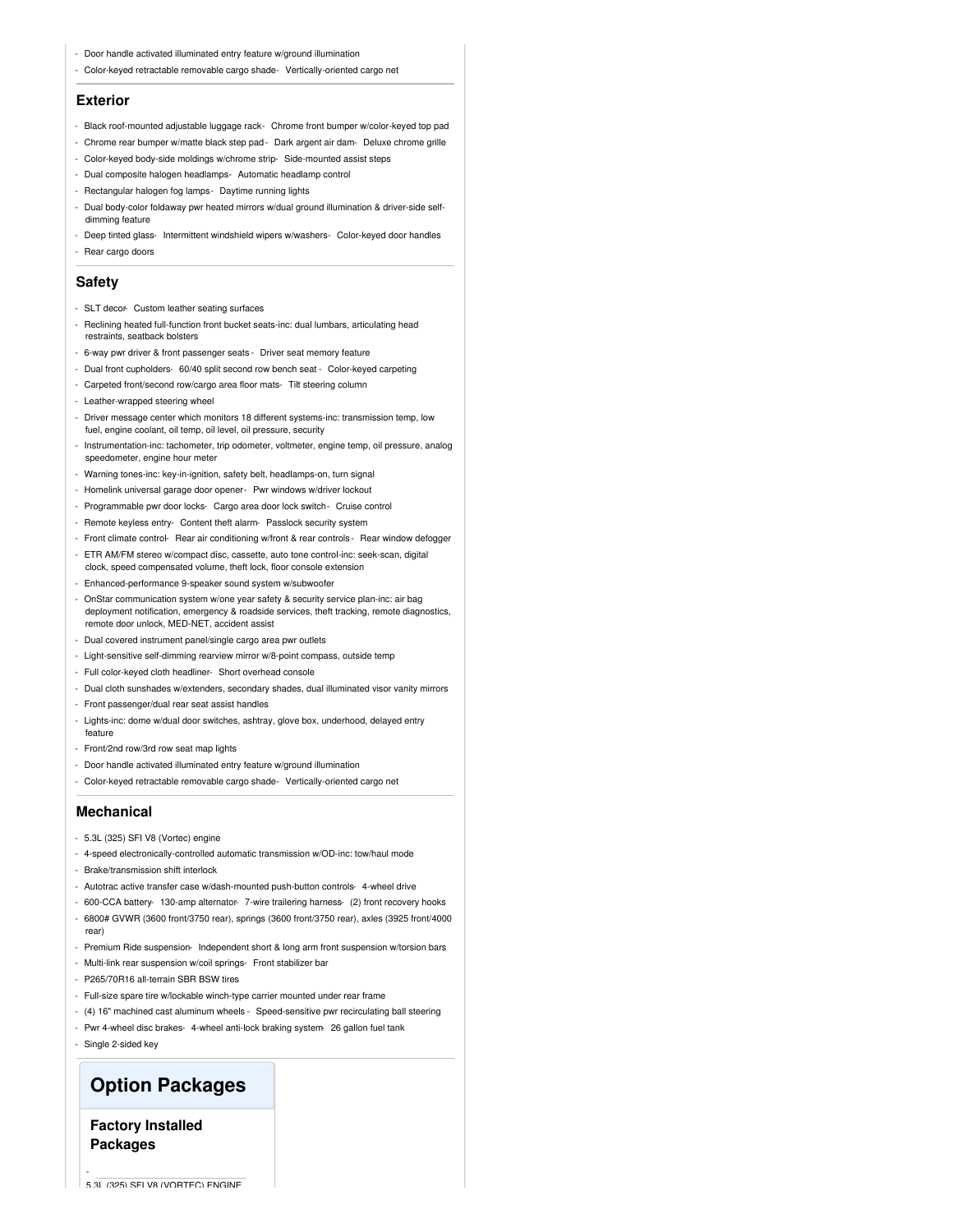- Door handle activated illuminated entry feature w/ground illumination
- Color-keyed retractable removable cargo shade- Vertically-oriented cargo net

#### **Exterior**

- Black roof-mounted adjustable luggage rack- Chrome front bumper w/color-keyed top pad
- Chrome rear bumper w/matte black step pad- Dark argent air dam- Deluxe chrome grille
- Color-keyed body-side moldings w/chrome strip- Side-mounted assist steps
- Dual composite halogen headlamps- Automatic headlamp control
- Rectangular halogen fog lamps- Daytime running lights
- Dual body-color foldaway pwr heated mirrors w/dual ground illumination & driver-side selfdimming feature
- Deep tinted glass- Intermittent windshield wipers w/washers- Color-keyed door handles
- Rear cargo doors

#### **Safety**

- SLT decor- Custom leather seating surfaces
- Reclining heated full-function front bucket seats-inc: dual lumbars, articulating head restraints, seatback bolsters
- 6-way pwr driver & front passenger seats Driver seat memory feature
- Dual front cupholders- 60/40 split second row bench seat Color-keyed carpeting
- Carpeted front/second row/cargo area floor mats- Tilt steering column
- Leather-wrapped steering wheel
- Driver message center which monitors 18 different systems-inc: transmission temp, low fuel, engine coolant, oil temp, oil level, oil pressure, security
- Instrumentation-inc: tachometer, trip odometer, voltmeter, engine temp, oil pressure, analog speedometer, engine hour meter
- Warning tones-inc: key-in-ignition, safety belt, headlamps-on, turn signal
- Homelink universal garage door opener- Pwr windows w/driver lockout
- Programmable pwr door locks- Cargo area door lock switch- Cruise control
- Remote keyless entry- Content theft alarm- Passlock security system
- Front climate control- Rear air conditioning w/front & rear controls Rear window defogger
- ETR AM/FM stereo w/compact disc, cassette, auto tone control-inc: seek-scan, digital
- clock, speed compensated volume, theft lock, floor console extension - Enhanced-performance 9-speaker sound system w/subwoofer
- OnStar communication system w/one year safety & security service plan-inc: air bag deployment notification, emergency & roadside services, theft tracking, remote diagnostics, remote door unlock, MED-NET, accident assist
- Dual covered instrument panel/single cargo area pwr outlets
- Light-sensitive self-dimming rearview mirror w/8-point compass, outside temp
- Full color-keyed cloth headliner- Short overhead console
- Dual cloth sunshades w/extenders, secondary shades, dual illuminated visor vanity mirrors
- Front passenger/dual rear seat assist handles
- Lights-inc: dome w/dual door switches, ashtray, glove box, underhood, delayed entry feature
- Front/2nd row/3rd row seat map lights
- Door handle activated illuminated entry feature w/ground illumination
- Color-keyed retractable removable cargo shade- Vertically-oriented cargo net

#### **Mechanical**

- 5.3L (325) SFI V8 (Vortec) engine
- 4-speed electronically-controlled automatic transmission w/OD-inc: tow/haul mode
- Brake/transmission shift interlock
- Autotrac active transfer case w/dash-mounted push-button controls- 4-wheel drive
- 600-CCA battery- 130-amp alternator- 7-wire trailering harness- (2) front recovery hooks - 6800# GVWR (3600 front/3750 rear), springs (3600 front/3750 rear), axles (3925 front/4000
- rear)
- Premium Ride suspension- Independent short & long arm front suspension w/torsion bars
- Multi-link rear suspension w/coil springs- Front stabilizer bar
- P265/70R16 all-terrain SBR BSW tires
- Full-size spare tire w/lockable winch-type carrier mounted under rear frame
- (4) 16" machined cast aluminum wheels Speed-sensitive pwr recirculating ball steering
- Pwr 4-wheel disc brakes- 4-wheel anti-lock braking system- 26 gallon fuel tank
- Single 2-sided key

-

### **Option Packages**

### **Factory Installed Packages**